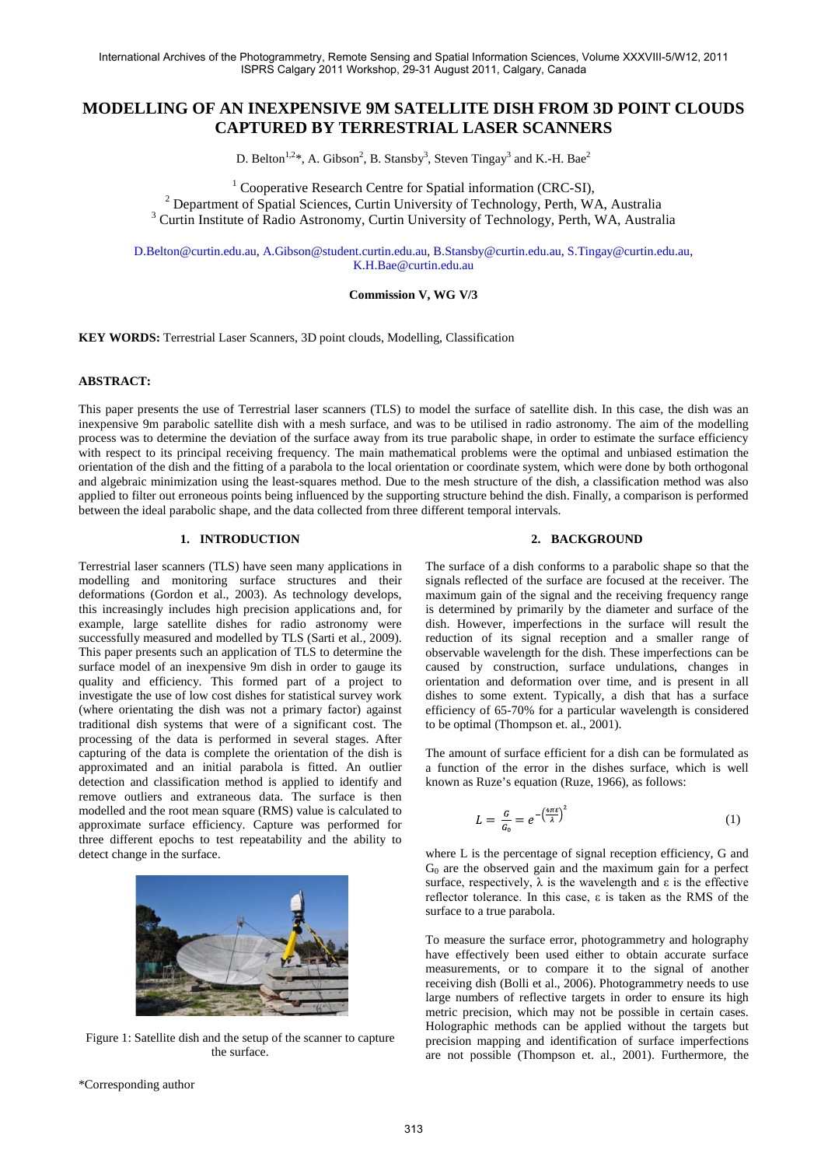# **MODELLING OF AN INEXPENSIVE 9M SATELLITE DISH FROM 3D POINT CLOUDS CAPTURED BY TERRESTRIAL LASER SCANNERS**

D. Belton<sup>1,2\*</sup>, A. Gibson<sup>2</sup>, B. Stansby<sup>3</sup>, Steven Tingay<sup>3</sup> and K.-H. Bae<sup>2</sup>

<sup>1</sup> Cooperative Research Centre for Spatial information (CRC-SI),<br><sup>2</sup> Department of Spatial Sciences, Curtin University of Technology, Perth, WA, Australia<sup>3</sup> Curtin Institute of Radio Astronomy, Curtin University of Techn

[D.Belton@curtin.edu.au,](mailto:D.Belton@curtin.edu.au) [A.Gibson@student.curtin.edu.au,](mailto:A.Gibson@student.curtin.edu.au) [B.Stansby@curtin.edu.au,](mailto:B.Stansby@curtin.edu.au) [S.Tingay@curtin.edu.au,](mailto:S.Tingay@curtin.edu.au)  [K.H.Bae@curtin.edu.au](mailto:K.H.Bae@curtin.edu.au)

# **Commission V, WG V/3**

**KEY WORDS:** Terrestrial Laser Scanners, 3D point clouds, Modelling, Classification

## **ABSTRACT:**

This paper presents the use of Terrestrial laser scanners (TLS) to model the surface of satellite dish. In this case, the dish was an inexpensive 9m parabolic satellite dish with a mesh surface, and was to be utilised in radio astronomy. The aim of the modelling process was to determine the deviation of the surface away from its true parabolic shape, in order to estimate the surface efficiency with respect to its principal receiving frequency. The main mathematical problems were the optimal and unbiased estimation the orientation of the dish and the fitting of a parabola to the local orientation or coordinate system, which were done by both orthogonal and algebraic minimization using the least-squares method. Due to the mesh structure of the dish, a classification method was also applied to filter out erroneous points being influenced by the supporting structure behind the dish. Finally, a comparison is performed between the ideal parabolic shape, and the data collected from three different temporal intervals.

# **1. INTRODUCTION**

Terrestrial laser scanners (TLS) have seen many applications in modelling and monitoring surface structures and their deformations (Gordon et al., 2003). As technology develops, this increasingly includes high precision applications and, for example, large satellite dishes for radio astronomy were successfully measured and modelled by TLS (Sarti et al., 2009). This paper presents such an application of TLS to determine the surface model of an inexpensive 9m dish in order to gauge its quality and efficiency. This formed part of a project to investigate the use of low cost dishes for statistical survey work (where orientating the dish was not a primary factor) against traditional dish systems that were of a significant cost. The processing of the data is performed in several stages. After capturing of the data is complete the orientation of the dish is approximated and an initial parabola is fitted. An outlier detection and classification method is applied to identify and remove outliers and extraneous data. The surface is then modelled and the root mean square (RMS) value is calculated to approximate surface efficiency. Capture was performed for three different epochs to test repeatability and the ability to detect change in the surface.



Figure 1: Satellite dish and the setup of the scanner to capture the surface.

### **2. BACKGROUND**

The surface of a dish conforms to a parabolic shape so that the signals reflected of the surface are focused at the receiver. The maximum gain of the signal and the receiving frequency range is determined by primarily by the diameter and surface of the dish. However, imperfections in the surface will result the reduction of its signal reception and a smaller range of observable wavelength for the dish. These imperfections can be caused by construction, surface undulations, changes in orientation and deformation over time, and is present in all dishes to some extent. Typically, a dish that has a surface efficiency of 65-70% for a particular wavelength is considered to be optimal (Thompson et. al., 2001).

The amount of surface efficient for a dish can be formulated as a function of the error in the dishes surface, which is well known as Ruze's equation (Ruze, 1966), as follows:

$$
L = \frac{G}{G_0} = e^{-\left(\frac{4\pi\varepsilon}{\lambda}\right)^2} \tag{1}
$$

where L is the percentage of signal reception efficiency, G and  $G<sub>0</sub>$  are the observed gain and the maximum gain for a perfect surface, respectively,  $\lambda$  is the wavelength and  $\varepsilon$  is the effective reflector tolerance. In this case, ε is taken as the RMS of the surface to a true parabola.

To measure the surface error, photogrammetry and holography have effectively been used either to obtain accurate surface measurements, or to compare it to the signal of another receiving dish (Bolli et al., 2006). Photogrammetry needs to use large numbers of reflective targets in order to ensure its high metric precision, which may not be possible in certain cases. Holographic methods can be applied without the targets but precision mapping and identification of surface imperfections are not possible (Thompson et. al., 2001). Furthermore, the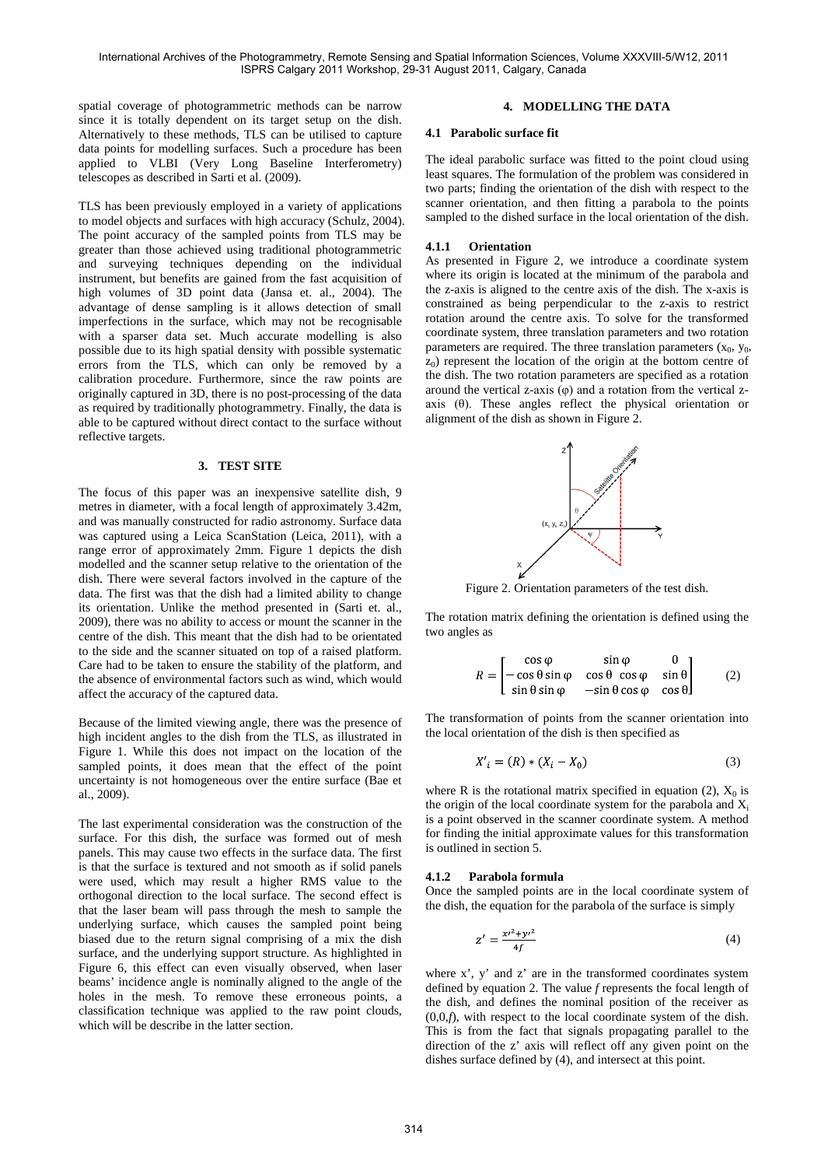spatial coverage of photogrammetric methods can be narrow since it is totally dependent on its target setup on the dish. Alternatively to these methods, TLS can be utilised to capture data points for modelling surfaces. Such a procedure has been applied to VLBI (Very Long Baseline Interferometry) telescopes as described in Sarti et al. (2009).

TLS has been previously employed in a variety of applications to model objects and surfaces with high accuracy (Schulz, 2004). The point accuracy of the sampled points from TLS may be greater than those achieved using traditional photogrammetric and surveying techniques depending on the individual instrument, but benefits are gained from the fast acquisition of high volumes of 3D point data (Jansa et. al., 2004). The advantage of dense sampling is it allows detection of small imperfections in the surface, which may not be recognisable with a sparser data set. Much accurate modelling is also possible due to its high spatial density with possible systematic errors from the TLS, which can only be removed by a calibration procedure. Furthermore, since the raw points are originally captured in 3D, there is no post-processing of the data as required by traditionally photogrammetry. Finally, the data is able to be captured without direct contact to the surface without reflective targets.

### **3. TEST SITE**

The focus of this paper was an inexpensive satellite dish, 9 metres in diameter, with a focal length of approximately 3.42m, and was manually constructed for radio astronomy. Surface data was captured using a Leica ScanStation (Leica, 2011), with a range error of approximately 2mm. Figure 1 depicts the dish modelled and the scanner setup relative to the orientation of the dish. There were several factors involved in the capture of the data. The first was that the dish had a limited ability to change its orientation. Unlike the method presented in (Sarti et. al., 2009), there was no ability to access or mount the scanner in the centre of the dish. This meant that the dish had to be orientated to the side and the scanner situated on top of a raised platform. Care had to be taken to ensure the stability of the platform, and the absence of environmental factors such as wind, which would affect the accuracy of the captured data.

Because of the limited viewing angle, there was the presence of high incident angles to the dish from the TLS, as illustrated in Figure 1. While this does not impact on the location of the sampled points, it does mean that the effect of the point uncertainty is not homogeneous over the entire surface (Bae et al., 2009).

The last experimental consideration was the construction of the surface. For this dish, the surface was formed out of mesh panels. This may cause two effects in the surface data. The first is that the surface is textured and not smooth as if solid panels were used, which may result a higher RMS value to the orthogonal direction to the local surface. The second effect is that the laser beam will pass through the mesh to sample the underlying surface, which causes the sampled point being biased due to the return signal comprising of a mix the dish surface, and the underlying support structure. As highlighted in Figure 6, this effect can even visually observed, when laser beams' incidence angle is nominally aligned to the angle of the holes in the mesh. To remove these erroneous points, a classification technique was applied to the raw point clouds, which will be describe in the latter section.

# **4. MODELLING THE DATA**

#### **4.1 Parabolic surface fit**

The ideal parabolic surface was fitted to the point cloud using least squares. The formulation of the problem was considered in two parts; finding the orientation of the dish with respect to the scanner orientation, and then fitting a parabola to the points sampled to the dished surface in the local orientation of the dish.

### **4.1.1 Orientation**

As presented in Figure 2, we introduce a coordinate system where its origin is located at the minimum of the parabola and the z-axis is aligned to the centre axis of the dish. The x-axis is constrained as being perpendicular to the z-axis to restrict rotation around the centre axis. To solve for the transformed coordinate system, three translation parameters and two rotation parameters are required. The three translation parameters  $(x_0, y_0,$  $z_0$ ) represent the location of the origin at the bottom centre of the dish. The two rotation parameters are specified as a rotation around the vertical z-axis  $(φ)$  and a rotation from the vertical zaxis  $(θ)$ . These angles reflect the physical orientation or alignment of the dish as shown in Figure 2.



Figure 2. Orientation parameters of the test dish.

The rotation matrix defining the orientation is defined using the two angles as

$$
R = \begin{bmatrix} \cos \varphi & \sin \varphi & 0 \\ -\cos \theta \sin \varphi & \cos \theta & \cos \varphi & \sin \theta \\ \sin \theta \sin \varphi & -\sin \theta \cos \varphi & \cos \theta \end{bmatrix}
$$
 (2)

The transformation of points from the scanner orientation into the local orientation of the dish is then specified as

$$
X'_{i} = (R) * (X_{i} - X_{0})
$$
\n(3)

where R is the rotational matrix specified in equation (2),  $X_0$  is the origin of the local coordinate system for the parabola and  $X_i$ is a point observed in the scanner coordinate system. A method for finding the initial approximate values for this transformation is outlined in section 5.

## **4.1.2 Parabola formula**

Once the sampled points are in the local coordinate system of the dish, the equation for the parabola of the surface is simply

$$
z' = \frac{x^{2} + y^{2}}{4f}
$$
 (4)

where x', y' and z' are in the transformed coordinates system defined by equation 2. The value *f* represents the focal length of the dish, and defines the nominal position of the receiver as (0,0,*f*), with respect to the local coordinate system of the dish. This is from the fact that signals propagating parallel to the direction of the z' axis will reflect off any given point on the dishes surface defined by (4), and intersect at this point.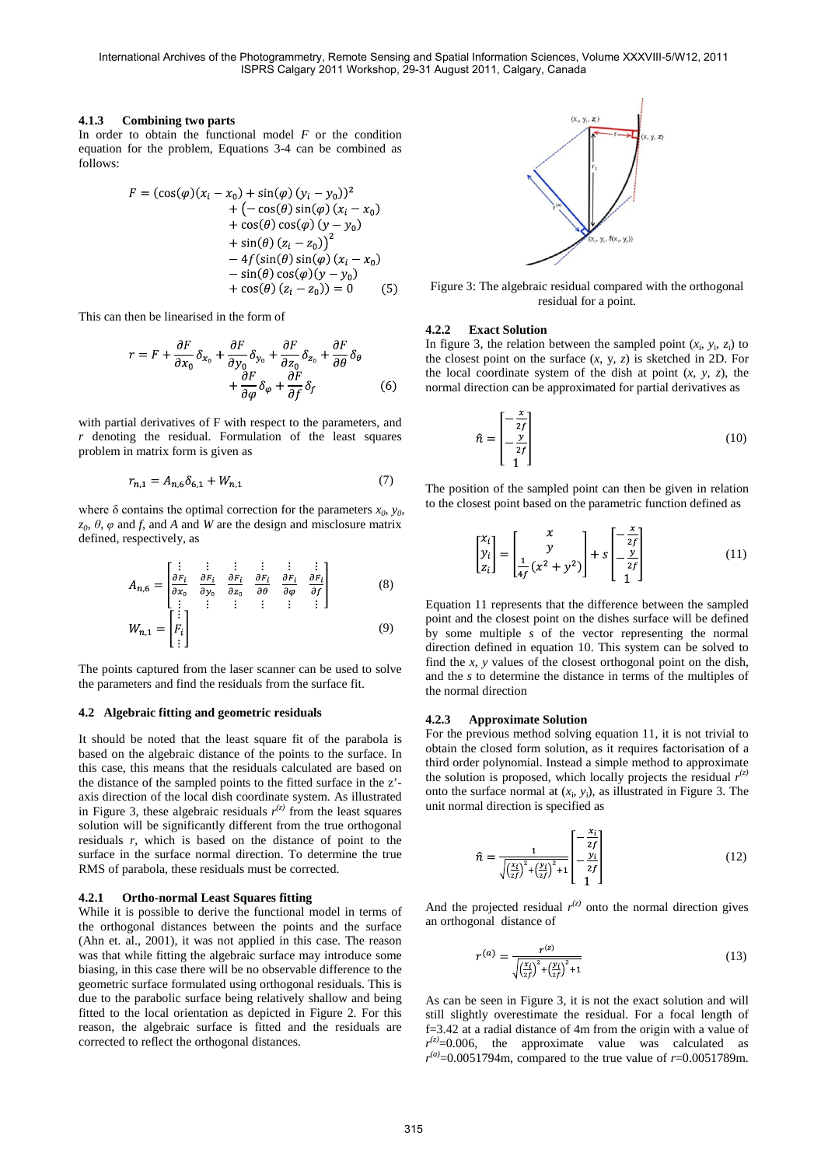## **4.1.3 Combining two parts**

In order to obtain the functional model *F* or the condition equation for the problem, Equations 3-4 can be combined as follows:

$$
F = (\cos(\varphi)(x_i - x_0) + \sin(\varphi)(y_i - y_0))^2 + (-\cos(\theta)\sin(\varphi)(x_i - x_0) + \cos(\theta)\cos(\varphi)(y - y_0) + \sin(\theta)(z_i - z_0))^2 - 4f(\sin(\theta)\sin(\varphi)(x_i - x_0) - \sin(\theta)\cos(\varphi)(y - y_0) + \cos(\theta)(z_i - z_0)) = 0
$$
 (5)

This can then be linearised in the form of

$$
r = F + \frac{\partial F}{\partial x_0} \delta_{x_0} + \frac{\partial F}{\partial y_0} \delta_{y_0} + \frac{\partial F}{\partial z_0} \delta_{z_0} + \frac{\partial F}{\partial \theta} \delta_{\theta} + \frac{\partial F}{\partial \varphi} \delta_{\varphi} + \frac{\partial F}{\partial f} \delta_{f}
$$
(6)

with partial derivatives of F with respect to the parameters, and *r* denoting the residual. Formulation of the least squares problem in matrix form is given as

$$
r_{n,1} = A_{n,6} \delta_{6,1} + W_{n,1} \tag{7}
$$

where  $\delta$  contains the optimal correction for the parameters  $x_0$ ,  $y_0$ ,  $z_0$ ,  $\theta$ ,  $\varphi$  and *f*, and *A* and *W* are the design and misclosure matrix defined, respectively, as

$$
A_{n,6} = \begin{bmatrix} \vdots & \vdots & \vdots & \vdots & \vdots \\ \frac{\partial F_i}{\partial x_0} & \frac{\partial F_i}{\partial y_0} & \frac{\partial F_i}{\partial z_0} & \frac{\partial F_i}{\partial \theta} & \frac{\partial F_i}{\partial \phi} & \frac{\partial F_i}{\partial f} \\ \vdots & \vdots & \vdots & \vdots & \vdots & \vdots \end{bmatrix}
$$
(8)

$$
W_{n,1} = \begin{bmatrix} \vdots \\ F_i \\ \vdots \end{bmatrix} \tag{9}
$$

The points captured from the laser scanner can be used to solve the parameters and find the residuals from the surface fit.

## **4.2 Algebraic fitting and geometric residuals**

It should be noted that the least square fit of the parabola is based on the algebraic distance of the points to the surface. In this case, this means that the residuals calculated are based on the distance of the sampled points to the fitted surface in the z' axis direction of the local dish coordinate system. As illustrated in Figure 3, these algebraic residuals  $r^{(z)}$  from the least squares solution will be significantly different from the true orthogonal residuals *r*, which is based on the distance of point to the surface in the surface normal direction. To determine the true RMS of parabola, these residuals must be corrected.

#### **4.2.1 Ortho-normal Least Squares fitting**

While it is possible to derive the functional model in terms of the orthogonal distances between the points and the surface (Ahn et. al., 2001), it was not applied in this case. The reason was that while fitting the algebraic surface may introduce some biasing, in this case there will be no observable difference to the geometric surface formulated using orthogonal residuals. This is due to the parabolic surface being relatively shallow and being fitted to the local orientation as depicted in Figure 2. For this reason, the algebraic surface is fitted and the residuals are corrected to reflect the orthogonal distances.



Figure 3: The algebraic residual compared with the orthogonal residual for a point.

#### **4.2.2 Exact Solution**

In figure 3, the relation between the sampled point  $(x_i, y_i, z_i)$  to the closest point on the surface  $(x, y, z)$  is sketched in 2D. For the local coordinate system of the dish at point  $(x, y, z)$ , the normal direction can be approximated for partial derivatives as

$$
\hat{n} = \begin{bmatrix} -\frac{x}{2f} \\ -\frac{y}{2f} \\ 1 \end{bmatrix}
$$
 (10)

The position of the sampled point can then be given in relation to the closest point based on the parametric function defined as

$$
\begin{bmatrix} x_i \\ y_i \\ z_i \end{bmatrix} = \begin{bmatrix} x \\ y \\ \frac{1}{4f} (x^2 + y^2) \end{bmatrix} + s \begin{bmatrix} -\frac{x}{2f} \\ -\frac{y}{2f} \\ 1 \end{bmatrix}
$$
 (11)

Equation 11 represents that the difference between the sampled point and the closest point on the dishes surface will be defined by some multiple *s* of the vector representing the normal direction defined in equation 10. This system can be solved to find the *x*, *y* values of the closest orthogonal point on the dish, and the *s* to determine the distance in terms of the multiples of the normal direction

#### **4.2.3 Approximate Solution**

For the previous method solving equation 11, it is not trivial to obtain the closed form solution, as it requires factorisation of a third order polynomial. Instead a simple method to approximate the solution is proposed, which locally projects the residual  $r^{(z)}$ onto the surface normal at  $(x_i, y_i)$ , as illustrated in Figure 3. The unit normal direction is specified as

$$
\hat{n} = \frac{1}{\sqrt{\left(\frac{x_i}{2f}\right)^2 + \left(\frac{y_i}{2f}\right)^2 + 1}} \begin{bmatrix} -\frac{x_i}{2f} \\ -\frac{y_i}{2f} \\ 1 \end{bmatrix}
$$
(12)

And the projected residual  $r^{(z)}$  onto the normal direction gives an orthogonal distance of

$$
r^{(a)} = \frac{r^{(z)}}{\sqrt{\left(\frac{x_i}{z_f}\right)^2 + \left(\frac{y_i}{z_f}\right)^2 + 1}}\tag{13}
$$

As can be seen in Figure 3, it is not the exact solution and will still slightly overestimate the residual. For a focal length of f=3.42 at a radial distance of 4m from the origin with a value of  $r^{(z)}$ =0.006, the approximate value was calculated as  $r^{(a)} = 0.0051794$ m, compared to the true value of  $r = 0.0051789$ m.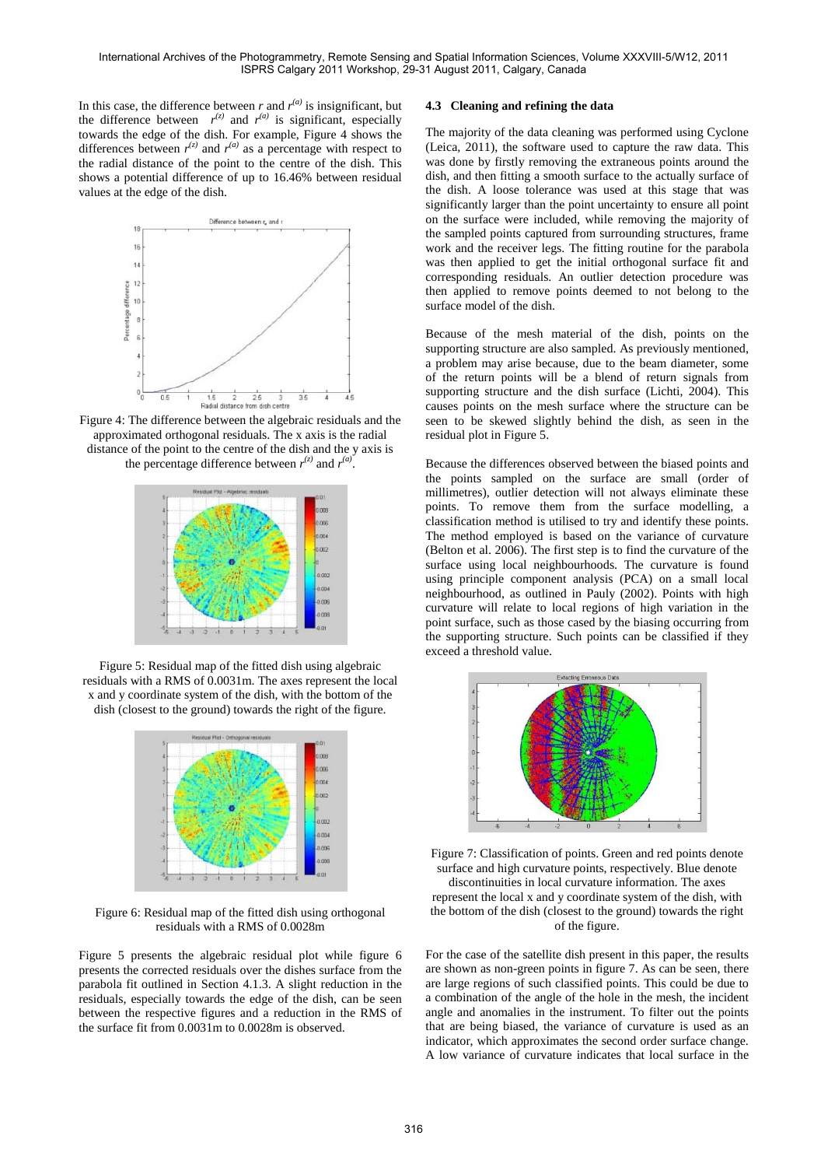In this case, the difference between  $r$  and  $r^{(a)}$  is insignificant, but the difference between  $r^{(z)}$  and  $r^{(a)}$  is significant, especially towards the edge of the dish. For example, Figure 4 shows the differences between  $r^{(z)}$  and  $r^{(a)}$  as a percentage with respect to the radial distance of the point to the centre of the dish. This shows a potential difference of up to 16.46% between residual values at the edge of the dish.



Figure 4: The difference between the algebraic residuals and the approximated orthogonal residuals. The x axis is the radial distance of the point to the centre of the dish and the y axis is the percentage difference between  $r^{(z)}$  and  $r^{(a)}$ .



Figure 5: Residual map of the fitted dish using algebraic residuals with a RMS of 0.0031m. The axes represent the local x and y coordinate system of the dish, with the bottom of the dish (closest to the ground) towards the right of the figure.



Figure 6: Residual map of the fitted dish using orthogonal residuals with a RMS of 0.0028m

Figure 5 presents the algebraic residual plot while figure 6 presents the corrected residuals over the dishes surface from the parabola fit outlined in Section 4.1.3. A slight reduction in the residuals, especially towards the edge of the dish, can be seen between the respective figures and a reduction in the RMS of the surface fit from 0.0031m to 0.0028m is observed.

# **4.3 Cleaning and refining the data**

The majority of the data cleaning was performed using Cyclone (Leica, 2011), the software used to capture the raw data. This was done by firstly removing the extraneous points around the dish, and then fitting a smooth surface to the actually surface of the dish. A loose tolerance was used at this stage that was significantly larger than the point uncertainty to ensure all point on the surface were included, while removing the majority of the sampled points captured from surrounding structures, frame work and the receiver legs. The fitting routine for the parabola was then applied to get the initial orthogonal surface fit and corresponding residuals. An outlier detection procedure was then applied to remove points deemed to not belong to the surface model of the dish.

Because of the mesh material of the dish, points on the supporting structure are also sampled. As previously mentioned, a problem may arise because, due to the beam diameter, some of the return points will be a blend of return signals from supporting structure and the dish surface (Lichti, 2004). This causes points on the mesh surface where the structure can be seen to be skewed slightly behind the dish, as seen in the residual plot in Figure 5.

Because the differences observed between the biased points and the points sampled on the surface are small (order of millimetres), outlier detection will not always eliminate these points. To remove them from the surface modelling, a classification method is utilised to try and identify these points. The method employed is based on the variance of curvature (Belton et al. 2006). The first step is to find the curvature of the surface using local neighbourhoods. The curvature is found using principle component analysis (PCA) on a small local neighbourhood, as outlined in Pauly (2002). Points with high curvature will relate to local regions of high variation in the point surface, such as those cased by the biasing occurring from the supporting structure. Such points can be classified if they exceed a threshold value.



Figure 7: Classification of points. Green and red points denote surface and high curvature points, respectively. Blue denote

discontinuities in local curvature information. The axes represent the local x and y coordinate system of the dish, with the bottom of the dish (closest to the ground) towards the right of the figure.

For the case of the satellite dish present in this paper, the results are shown as non-green points in figure 7. As can be seen, there are large regions of such classified points. This could be due to a combination of the angle of the hole in the mesh, the incident angle and anomalies in the instrument. To filter out the points that are being biased, the variance of curvature is used as an indicator, which approximates the second order surface change. A low variance of curvature indicates that local surface in the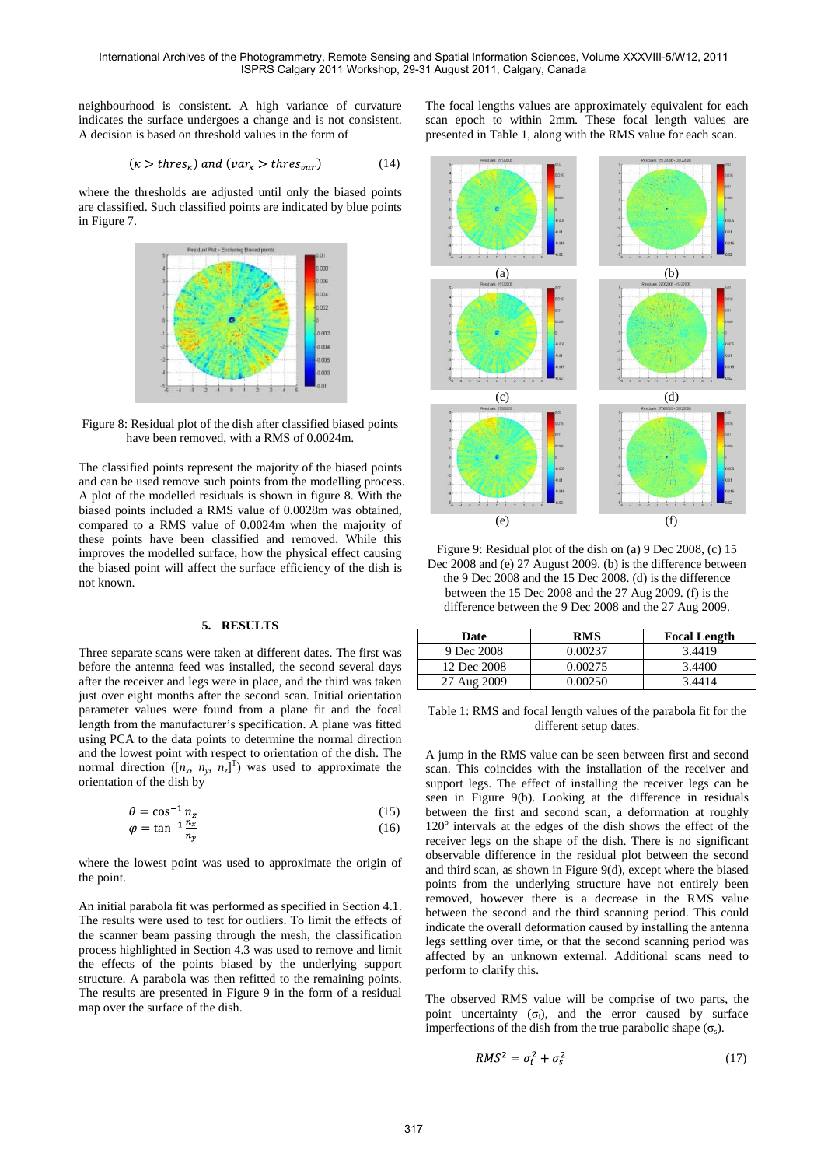neighbourhood is consistent. A high variance of curvature indicates the surface undergoes a change and is not consistent. A decision is based on threshold values in the form of

$$
(\kappa > thres_{\kappa}) \text{ and } (\nu ar_{\kappa} > thres_{var}) \tag{14}
$$

where the thresholds are adjusted until only the biased points are classified. Such classified points are indicated by blue points in Figure 7.



Figure 8: Residual plot of the dish after classified biased points have been removed, with a RMS of 0.0024m.

The classified points represent the majority of the biased points and can be used remove such points from the modelling process. A plot of the modelled residuals is shown in figure 8. With the biased points included a RMS value of 0.0028m was obtained, compared to a RMS value of 0.0024m when the majority of these points have been classified and removed. While this improves the modelled surface, how the physical effect causing the biased point will affect the surface efficiency of the dish is not known.

#### **5. RESULTS**

Three separate scans were taken at different dates. The first was before the antenna feed was installed, the second several days after the receiver and legs were in place, and the third was taken just over eight months after the second scan. Initial orientation parameter values were found from a plane fit and the focal length from the manufacturer's specification. A plane was fitted using PCA to the data points to determine the normal direction and the lowest point with respect to orientation of the dish. The normal direction ( $[n_x, n_y, n_z]^T$ ) was used to approximate the orientation of the dish by

$$
\theta = \cos^{-1} n_z \tag{15}
$$

$$
\varphi = \tan^{-1} \frac{n_x}{n_y} \tag{16}
$$

where the lowest point was used to approximate the origin of the point.

An initial parabola fit was performed as specified in Section 4.1. The results were used to test for outliers. To limit the effects of the scanner beam passing through the mesh, the classification process highlighted in Section 4.3 was used to remove and limit the effects of the points biased by the underlying support structure. A parabola was then refitted to the remaining points. The results are presented in Figure 9 in the form of a residual map over the surface of the dish.

The focal lengths values are approximately equivalent for each scan epoch to within 2mm. These focal length values are presented in Table 1, along with the RMS value for each scan.



Figure 9: Residual plot of the dish on (a) 9 Dec 2008, (c) 15 Dec 2008 and (e) 27 August 2009. (b) is the difference between the 9 Dec 2008 and the 15 Dec 2008. (d) is the difference between the 15 Dec 2008 and the 27 Aug 2009. (f) is the difference between the 9 Dec 2008 and the 27 Aug 2009.

| Date        | <b>RMS</b> | <b>Focal Length</b> |
|-------------|------------|---------------------|
| 9 Dec 2008  | 0.00237    | 3.4419              |
| 12 Dec 2008 | 0.00275    | 3.4400              |
| 27 Aug 2009 | 0.00250    | 3.4414              |

Table 1: RMS and focal length values of the parabola fit for the different setup dates.

A jump in the RMS value can be seen between first and second scan. This coincides with the installation of the receiver and support legs. The effect of installing the receiver legs can be seen in Figure 9(b). Looking at the difference in residuals between the first and second scan, a deformation at roughly  $120^\circ$  intervals at the edges of the dish shows the effect of the receiver legs on the shape of the dish. There is no significant observable difference in the residual plot between the second and third scan, as shown in Figure 9(d), except where the biased points from the underlying structure have not entirely been removed, however there is a decrease in the RMS value between the second and the third scanning period. This could indicate the overall deformation caused by installing the antenna legs settling over time, or that the second scanning period was affected by an unknown external. Additional scans need to perform to clarify this.

The observed RMS value will be comprise of two parts, the point uncertainty  $(\sigma_i)$ , and the error caused by surface imperfections of the dish from the true parabolic shape  $(\sigma_s)$ .

$$
RMS^2 = \sigma_i^2 + \sigma_s^2 \tag{17}
$$